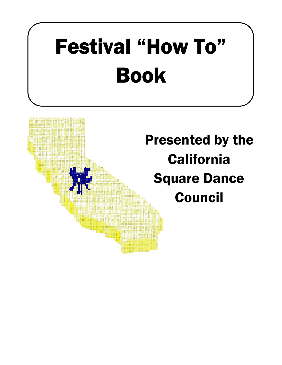# **Festival "How To" Book**

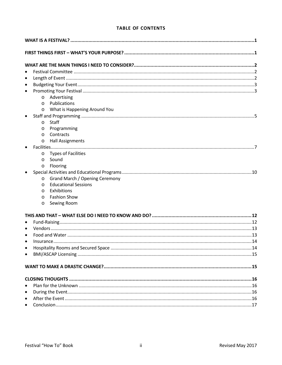# **TABLE OF CONTENTS**

| $\bullet$                                 |  |  |
|-------------------------------------------|--|--|
| $\bullet$                                 |  |  |
| $\bullet$                                 |  |  |
| $\bullet$                                 |  |  |
| Advertising<br>$\circ$                    |  |  |
| Publications<br>$\circ$                   |  |  |
| What is Happening Around You<br>$\circ$   |  |  |
| $\bullet$                                 |  |  |
| Staff<br>$\circ$                          |  |  |
| Programming<br>O                          |  |  |
| Contracts<br>$\circ$                      |  |  |
| <b>Hall Assignments</b><br>$\circ$        |  |  |
| $\bullet$                                 |  |  |
| <b>Types of Facilities</b><br>$\circ$     |  |  |
| Sound<br>$\circ$                          |  |  |
| Flooring<br>$\circ$                       |  |  |
|                                           |  |  |
| Grand March / Opening Ceremony<br>$\circ$ |  |  |
| <b>Educational Sessions</b><br>$\circ$    |  |  |
| Exhibitions<br>$\circ$                    |  |  |
| <b>Fashion Show</b><br>$\circ$            |  |  |
| Sewing Room<br>$\circ$                    |  |  |
|                                           |  |  |
| $\bullet$                                 |  |  |
| $\bullet$                                 |  |  |
| $\bullet$                                 |  |  |
|                                           |  |  |
| $\bullet$                                 |  |  |
| $\bullet$                                 |  |  |
|                                           |  |  |
|                                           |  |  |
|                                           |  |  |
|                                           |  |  |
| $\bullet$                                 |  |  |
| $\bullet$                                 |  |  |
| $\bullet$                                 |  |  |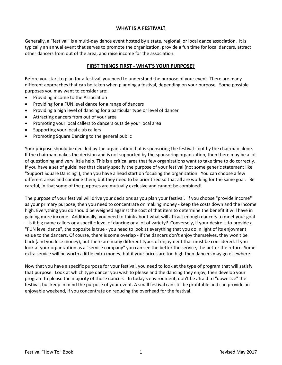# **WHAT IS A FESTIVAL?**

Generally, a "festival" is a multi-day dance event hosted by a state, regional, or local dance association. It is typically an annual event that serves to promote the organization, provide a fun time for local dancers, attract other dancers from out of the area, and raise income for the association.

## **FIRST THINGS FIRST - WHAT'S YOUR PURPOSE?**

Before you start to plan for a festival, you need to understand the purpose of your event. There are many different approaches that can be taken when planning a festival, depending on your purpose. Some possible purposes you may want to consider are:

- Providing income to the Association
- Providing for a FUN level dance for a range of dancers
- Providing a high level of dancing for a particular type or level of dancer
- Attracting dancers from out of your area
- Promoting your local callers to dancers outside your local area
- Supporting your local club callers
- Promoting Square Dancing to the general public

Your purpose should be decided by the organization that is sponsoring the festival - not by the chairman alone. If the chairman makes the decision and is not supported by the sponsoring organization, then there may be a lot of questioning and very little help. This is a critical area that few organizations want to take time to do correctly. If you have a set of guidelines that clearly specify the purpose of your festival (not some generic statement like "Support Square Dancing"), then you have a head start on focusing the organization. You can choose a few different areas and combine them, but they need to be prioritized so that all are working for the same goal. Be careful, in that some of the purposes are mutually exclusive and cannot be combined!

The purpose of your festival will drive your decisions as you plan your festival. If you choose "provide income" as your primary purpose, then you need to concentrate on making money - keep the costs down and the income high. Everything you do should be weighed against the cost of that item to determine the benefit it will have in gaining more income. Additionally, you need to think about what will attract enough dancers to meet your goal – is it big name callers or a specific level of dancing or a lot of variety? Conversely, if your desire is to provide a "FUN level dance", the opposite is true - you need to look at everything that you do in light of its enjoyment value to the dancers. Of course, there is some overlap - if the dancers don't enjoy themselves, they won't be back (and you lose money), but there are many different types of enjoyment that must be considered. If you look at your organization as a "service company" you can see the better the service, the better the return. Some extra service will be worth a little extra money, but if your prices are too high then dancers may go elsewhere.

Now that you have a specific purpose for your festival, you need to look at the type of program that will satisfy that purpose. Look at which type dancer you wish to please and the dancing they enjoy, then develop your program to please the majority of those dancers. In today's environment, don't be afraid to "downsize" the festival, but keep in mind the purpose of your event. A small festival can still be profitable and can provide an enjoyable weekend, if you concentrate on reducing the overhead for the festival.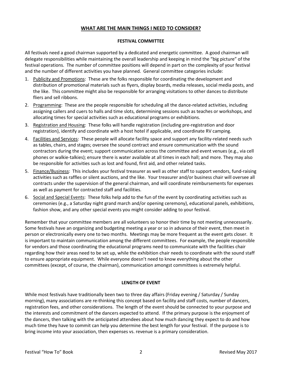# **WHAT ARE THE MAIN THINGS I NEED TO CONSIDER?**

## **FESTIVAL COMMITTEE**

All festivals need a good chairman supported by a dedicated and energetic committee. A good chairman will delegate responsibilities while maintaining the overall leadership and keeping in mind the "big picture" of the festival operations. The number of committee positions will depend in part on the complexity of your festival and the number of different activities you have planned. General committee categories include:

- 1. Publicity and Promotions: These are the folks responsible for coordinating the development and distribution of promotional materials such as flyers, display boards, media releases, social media posts, and the like. This committee might also be responsible for arranging visitations to other dances to distribute fliers and sell ribbons.
- 2. Programming: These are the people responsible for scheduling all the dance-related activities, including assigning callers and cuers to halls and time slots, determining sessions such as teaches or workshops, and allocating times for special activities such as educational programs or exhibitions.
- 3. Registration and Housing: These folks will handle registration (including pre-registration and door registration), identify and coordinate with a host hotel if applicable, and coordinate RV camping.
- 4. Facilities and Services: These people will allocate facility space and support any facility-related needs such as tables, chairs, and stages; oversee the sound contract and ensure communication with the sound contractors during the event; support communication across the committee and event venues (e.g., via cell phones or walkie-talkies); ensure there is water available at all times in each hall; and more. They may also be responsible for activities such as lost and found, first aid, and other related tasks.
- 5. Finance/Business: This includes your festival treasurer as well as other staff to support vendors, fund-raising activities such as raffles or silent auctions, and the like. Your treasurer and/or business chair will oversee all contracts under the supervision of the general chairman, and will coordinate reimbursements for expenses as well as payment for contracted staff and facilities.
- 6. Social and Special Events: These folks help add to the fun of the event by coordinating activities such as ceremonies (e.g., a Saturday night grand march and/or opening ceremony), educational panels, exhibitions, fashion show, and any other special events you might consider adding to your festival.

Remember that your committee members are all volunteers so honor their time by not meeting unnecessarily. Some festivals have an organizing and budgeting meeting a year or so in advance of their event, then meet in person or electronically every one to two months. Meetings may be more frequent as the event gets closer. It is important to maintain communication among the different committees. For example, the people responsible for vendors and those coordinating the educational programs need to communicate with the facilities chair regarding how their areas need to be set up, while the exhibition chair needs to coordinate with the sound staff to ensure appropriate equipment. While everyone doesn't need to know everything about the other committees (except, of course, the chairman), communication amongst committees is extremely helpful.

# **LENGTH OF EVENT**

While most festivals have traditionally been two to three day affairs (Friday evening / Saturday / Sunday morning), many associations are re-thinking this concept based on facility and staff costs, number of dancers, registration fees, and other considerations. The length of the event should be connected to your purpose and the interests and commitment of the dancers expected to attend. If the primary purpose is the enjoyment of the dancers, then talking with the anticipated attendees about how much dancing they expect to do and how much time they have to commit can help you determine the best length for your festival. If the purpose is to bring income into your association, then expenses vs. revenue is a primary consideration.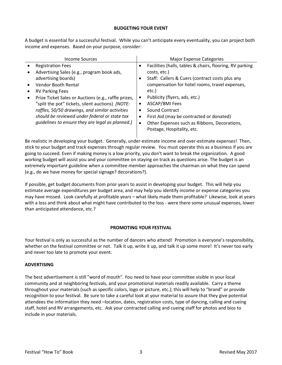#### **BUDGETING YOUR EVENT**

A budget is essential for a successful festival. While you can't anticipate every eventuality, you can project both income and expenses. Based on your purpose, consider:

| Facilities (halls, tables & chairs, flooring, RV parking<br><b>Registration Fees</b><br>$\bullet$<br>Advertising Sales (e.g., program book ads,<br>costs, etc.)<br>Staff: Callers & Cuers (contract costs plus any<br>advertising boards)<br>٠<br>compensation for hotel rooms, travel expenses,<br>Vendor Booth Rental<br>etc.)<br><b>RV Parking Fees</b><br>Publicity (flyers, ads, etc.)<br>Prize Ticket Sales or Auctions (e.g., raffle prizes,<br>ASCAP/BMI Fees<br>"split the pot" tickets, silent auctions) [NOTE:<br>٠<br>raffles, 50/50 drawings, and similar activities<br>Sound Contract<br>$\bullet$<br>should be reviewed under federal or state tax<br>First Aid (may be contracted or donated)<br>٠<br>guidelines to ensure they are legal as planned.]<br>Other Expenses such as Ribbons, Decorations,<br>٠ | Income Sources | <b>Major Expense Categories</b> |
|-----------------------------------------------------------------------------------------------------------------------------------------------------------------------------------------------------------------------------------------------------------------------------------------------------------------------------------------------------------------------------------------------------------------------------------------------------------------------------------------------------------------------------------------------------------------------------------------------------------------------------------------------------------------------------------------------------------------------------------------------------------------------------------------------------------------------------|----------------|---------------------------------|
|                                                                                                                                                                                                                                                                                                                                                                                                                                                                                                                                                                                                                                                                                                                                                                                                                             |                | Postage, Hospitality, etc.      |

Be realistic in developing your budget. Generally, under-estimate income and over-estimate expenses! Then, stick to your budget and track expenses through regular review. You must operate this as a business if you are going to succeed. Even if making money is a low priority, you don't want to break the organization. A good working budget will assist you and your committee on staying on track as questions arise. The budget is an extremely important guideline when a committee member approaches the chairman on what they can spend (e.g., do we have money for special signage? decorations?).

If possible, get budget documents from prior years to assist in developing your budget. This will help you estimate average expenditures per budget area, and may help you identify income or expense categories you may have missed. Look carefully at profitable years – what likely made them profitable? Likewise, look at years with a loss and think about what might have contributed to the loss - were there some unusual expenses, lower than anticipated attendance, etc.?

# **PROMOTING YOUR FESTIVAL**

Your festival is only as successful as the number of dancers who attend! Promotion is everyone's responsibility, whether on the festival committee or not. Talk it up, write it up, and talk it up some more! It's never too early and never too late to promote your event.

# **ADVERTISING**

The best advertisement is still "word of mouth". You need to have your committee visible in your local community and at neighboring festivals, and your promotional materials readily available. Carry a theme throughout your materials (such as specific colors, logo or picture, etc.); this will help to "brand" or provide recognition to your festival. Be sure to take a careful look at your material to assure that they give potential attendees the information they need –location, dates, registration costs, type of dancing, calling and cueing staff, hotel and RV arrangements, etc. Ask your contracted calling and cueing staff for photos and bios to include in your materials.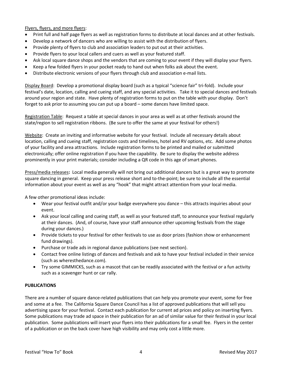Flyers, flyers, and more flyers:

- Print full and half page flyers as well as registration forms to distribute at local dances and at other festivals.
- Develop a network of dancers who are willing to assist with the distribution of flyers.
- Provide plenty of flyers to club and association leaders to put out at their activities.
- Provide flyers to your local callers and cuers as well as your featured staff.
- Ask local square dance shops and the vendors that are coming to your event if they will display your flyers.
- Keep a few folded flyers in your pocket ready to hand out when folks ask about the event.
- Distribute electronic versions of your flyers through club and association e-mail lists.

Display Board: Develop a promotional display board (such as a typical "science fair" tri-fold). Include your festival's date, location, calling and cueing staff, and any special activities. Take it to special dances and festivals around your region and state. Have plenty of registration forms to put on the table with your display. Don't forget to ask prior to assuming you can put up a board – some dances have limited space.

Registration Table: Request a table at special dances in your area as well as at other festivals around the state/region to sell registration ribbons. (Be sure to offer the same at your festival for others!)

Website: Create an inviting and informative website for your festival. Include all necessary details about location, calling and cueing staff, registration costs and timelines, hotel and RV options, etc. Add some photos of your facility and area attractions. Include registration forms to be printed and mailed or submitted electronically; offer online registration if you have the capability. Be sure to display the website address prominently in your print materials; consider including a QR code in this age of smart phones.

Press/media releases**:** Local media generally will not bring out additional dancers but is a great way to promote square dancing in general. Keep your press release short and to-the-point; be sure to include all the essential information about your event as well as any "hook" that might attract attention from your local media.

A few other promotional ideas include:

- Wear your festival outfit and/or your badge everywhere you dance this attracts inquiries about your event.
- Ask your local calling and cueing staff, as well as your featured staff, to announce your festival regularly at their dances. (And, of course, have your staff announce other upcoming festivals from the stage during your dances.)
- Provide tickets to your festival for other festivals to use as door prizes (fashion show or enhancement fund drawings).
- Purchase or trade ads in regional dance publications (see next section).
- Contact free online listings of dances and festivals and ask to have your festival included in their service (such as wheresthedance.com).
- Try some GIMMICKS, such as a mascot that can be readily associated with the festival or a fun activity such as a scavenger hunt or car rally.

#### **PUBLICATIONS**

There are a number of square dance-related publications that can help you promote your event, some for free and some at a fee. The California Square Dance Council has a list of approved publications that will sell you advertising space for your festival. Contact each publication for current ad prices and policy on inserting flyers. Some publications may trade ad space in their publication for an ad of similar value for their festival in your local publication. Some publications will insert your flyers into their publications for a small fee. Flyers in the center of a publication or on the back cover have high visibility and may only cost a little more.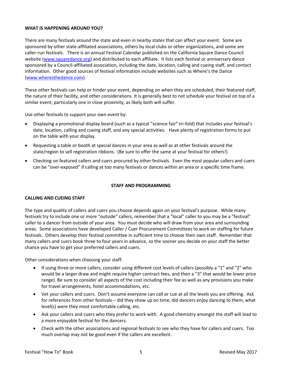## **WHAT IS HAPPENING AROUND YOU?**

There are many festivals around the state and even in nearby states that can affect your event. Some are sponsored by other state-affiliated associations, others by local clubs or other organizations, and some are caller-run festivals. There is an annual Festival Calendar published on the California Square Dance Council website [\(www.squaredance.org\)](http://www.squaredance.org/) and distributed to each affiliate. It lists each festival or anniversary dance sponsored by a Council-affiliated association, including the date, location, calling and cueing staff, and contact information. Other good sources of festival information include websites such as Where's the Dance [\(www.wheresthedance.com\)](http://www.wheresthedance.com/).

These other festivals can help or hinder your event, depending on when they are scheduled, their featured staff, the nature of their facility, and other considerations. It is generally best to not schedule your festival on top of a similar event, particularly one in close proximity, as likely both will suffer.

Use other festivals to support your own event by:

- Displaying a promotional display board (such as a typical "science fair" tri-fold) that includes your festival's date, location, calling and cueing staff, and any special activities. Have plenty of registration forms to put on the table with your display.
- Requesting a table or booth at special dances in your area as well as at other festivals around the state/region to sell registration ribbons. (Be sure to offer the same at your festival for others!)
- Checking on featured callers and cuers procured by other festivals. Even the most popular callers and cuers can be "over-exposed" if calling at too many festivals or dances within an area or a specific time frame.

#### **STAFF AND PROGRAMMING**

#### **CALLING AND CUEING STAFF**

The type and quality of callers and cuers you choose depends again on your festival's purpose. While many festivals try to include one or more "outside" callers, remember that a "local" caller to you may be a "festival" caller to a dancer from outside of your area. You must decide who will draw from your area and surrounding areas. Some associations have developed Caller / Cuer Procurement Committees to work on staffing for future festivals. Others develop their festival committee in sufficient time to choose their own staff. Remember that many callers and cuers book three to four years in advance, so the sooner you decide on your staff the better chance you have to get your preferred callers and cuers.

Other considerations when choosing your staff:

- If using three or more callers, consider using different cost levels of callers (possibly a "1" and "2" who would be a larger draw and might require higher contract fees, and then a "3" that would be lower price range). Be sure to consider all aspects of the cost including their fee as well as any provisions you make for travel arrangements, hotel accommodations, etc.
- Vet your callers and cuers. Don't assume everyone can call or cue at all the levels you are offering. Ask for references from other festivals – did they show up on time, did dancers enjoy dancing to them, what level(s) were they most comfortable calling, etc.
- Ask your callers and cuers who they prefer to work with. A good chemistry amongst the staff will lead to a more enjoyable festival for the dancers.
- Check with the other associations and regional festivals to see who they have for callers and cuers. Too much overlap may not be good even if the callers are excellent.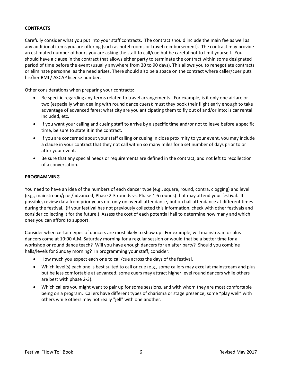# **CONTRACTS**

Carefully consider what you put into your staff contracts. The contract should include the main fee as well as any additional items you are offering (such as hotel rooms or travel reimbursement). The contract may provide an estimated number of hours you are asking the staff to call/cue but be careful not to limit yourself. You should have a clause in the contract that allows either party to terminate the contract within some designated period of time before the event (usually anywhere from 30 to 90 days). This allows you to renegotiate contracts or eliminate personnel as the need arises. There should also be a space on the contract where caller/cuer puts his/her BMI / ASCAP license number.

Other considerations when preparing your contracts:

- Be specific regarding any terms related to travel arrangements. For example, is it only one airfare or two (especially when dealing with round dance cuers); must they book their flight early enough to take advantage of advanced fares; what city are you anticipating them to fly out of and/or into; is car rental included, etc.
- If you want your calling and cueing staff to arrive by a specific time and/or not to leave before a specific time, be sure to state it in the contract.
- If you are concerned about your staff calling or cueing in close proximity to your event, you may include a clause in your contract that they not call within so many miles for a set number of days prior to or after your event.
- Be sure that any special needs or requirements are defined in the contract, and not left to recollection of a conversation.

#### **PROGRAMMING**

You need to have an idea of the numbers of each dancer type (e.g., square, round, contra, clogging) and level (e.g., mainstream/plus/advanced, Phase 2-3 rounds vs. Phase 4-6 rounds) that may attend your festival. If possible, review data from prior years not only on overall attendance, but on hall attendance at different times during the festival. (If your festival has not previously collected this information, check with other festivals and consider collecting it for the future.) Assess the cost of each potential hall to determine how many and which ones you can afford to support.

Consider when certain types of dancers are most likely to show up. For example, will mainstream or plus dancers come at 10:00 A.M. Saturday morning for a regular session or would that be a better time for a workshop or round dance teach? Will you have enough dancers for an after party? Should you combine halls/levels for Sunday morning? In programming your staff, consider:

- How much you expect each one to call/cue across the days of the festival.
- Which level(s) each one is best suited to call or cue (e.g., some callers may excel at mainstream and plus but be less comfortable at advanced; some cuers may attract higher level round dancers while others are best with phase 2-3).
- Which callers you might want to pair up for some sessions, and with whom they are most comfortable being on a program. Callers have different types of charisma or stage presence; some "play well" with others while others may not really "jell" with one another.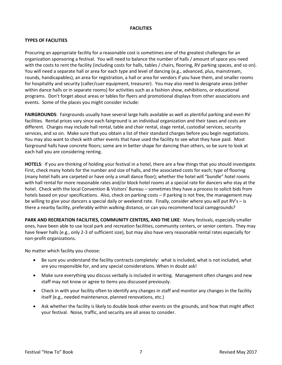## **FACILITIES**

# **TYPES OF FACILITIES**

Procuring an appropriate facility for a reasonable cost is sometimes one of the greatest challenges for an organization sponsoring a festival. You will need to balance the number of halls / amount of space you need with the costs to rent the facility (including costs for halls, tables / chairs, flooring, RV parking spaces, and so on). You will need a separate hall or area for each type and level of dancing (e.g., advanced, plus, mainstream, rounds, handicapables), an area for registration, a hall or area for vendors if you have them, and smaller rooms for hospitality and security (caller/cuer equipment, treasurer). You may also need to designate areas (either within dance halls or in separate rooms) for activities such as a fashion show, exhibitions, or educational programs. Don't forget about areas or tables for flyers and promotional displays from other associations and events. Some of the places you might consider include:

**FAIRGROUNDS**: Fairgrounds usually have several large halls available as well as plentiful parking and even RV facilities. Rental prices vary since each fairground is an individual organization and their taxes and costs are different. Charges may include hall rental, table and chair rental, stage rental, custodial services, security services, and so on. Make sure that you obtain a list of their standard charges before you begin negotiations. You may also want to check with other events that have used the facility to see what they have paid. Most fairground halls have concrete floors; some are in better shape for dancing than others, so be sure to look at each hall you are considering renting.

**HOTELS**: If you are thinking of holding your festival in a hotel, there are a few things that you should investigate. First, check many hotels for the number and size of halls, and the associated costs for each; type of flooring (many hotel halls are carpeted or have only a small dance floor); whether the hotel will "bundle" hotel rooms with hall rental for more reasonable rates and/or block hotel rooms at a special rate for dancers who stay at the hotel. Check with the local Convention & Visitors' Bureau – sometimes they have a process to solicit bids from hotels based on your specifications. Also, check on parking costs – if parking is not free, the management may be willing to give your dancers a special daily or weekend rate. Finally, consider where you will put RV's – is there a nearby facility, preferably within walking distance, or can you recommend local campgrounds?

**PARK AND RECREATION FACILITIES, COMMUNITY CENTERS, AND THE LIKE**: Many festivals, especially smaller ones, have been able to use local park and recreation facilities, community centers, or senior centers. They may have fewer halls (e.g., only 2-3 of sufficient size), but may also have very reasonable rental rates especially for non-profit organizations.

No matter which facility you choose:

- Be sure you understand the facility contracts completely: what is included, what is not included, what are you responsible for, and any special considerations. When in doubt ask!
- Make sure everything you discuss verbally is included in writing. Management often changes and new staff may not know or agree to items you discussed previously.
- Check in with your facility often to identify any changes in staff and monitor any changes in the facility itself (e.g., needed maintenance, planned renovations, etc.)
- Ask whether the facility is likely to double book other events on the grounds, and how that might affect your festival. Noise, traffic, and security are all areas to consider.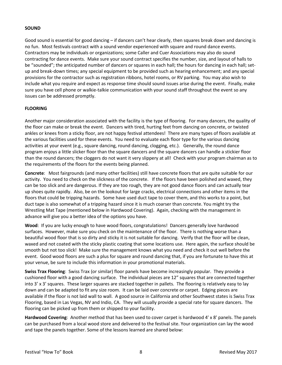# **SOUND**

Good sound is essential for good dancing – if dancers can't hear clearly, then squares break down and dancing is no fun. Most festivals contract with a sound vendor experienced with square and round dance events. Contractors may be individuals or organizations; some Caller and Cuer Associations may also do sound contracting for dance events. Make sure your sound contract specifies the number, size, and layout of halls to be "sounded"; the anticipated number of dancers or squares in each hall; the hours for dancing in each hall; setup and break-down times; any special equipment to be provided such as hearing enhancement; and any special provisions for the contractor such as registration ribbons, hotel rooms, or RV parking. You may also wish to include what you require and expect as response time should sound issues arise during the event. Finally, make sure you have cell phone or walkie-talkie communication with your sound staff throughout the event so any issues can be addressed promptly.

# **FLOORING**

Another major consideration associated with the facility is the type of flooring. For many dancers, the quality of the floor can make or break the event. Dancers with tired, hurting feet from dancing on concrete, or twisted ankles or knees from a sticky floor, are not happy festival attendees! There are many types of floors available at the various facilities used for these events. You need to evaluate each floor type for the various dancing activities at your event (e.g., square dancing, round dancing, clogging, etc.). Generally, the round dance program enjoys a little slicker floor than the square dancers and the square dancers can handle a stickier floor than the round dancers; the cloggers do not want it very slippery at all! Check with your program chairman as to the requirements of the floors for the events being planned.

**Concrete**: Most fairgrounds (and many other facilities) still have concrete floors that are quite suitable for our activity. You need to check on the slickness of the concrete. If the floors have been polished and waxed, they can be too slick and are dangerous. If they are too rough, they are not good dance floors and can actually tear up shoes quite rapidly. Also, be on the lookout for large cracks, electrical connections and other items in the floors that could be tripping hazards. Some have used duct tape to cover them, and this works to a point, but duct tape is also somewhat of a tripping hazard since it is much coarser than concrete. You might try the Wrestling Mat Tape (mentioned below in Hardwood Covering). Again, checking with the management in advance will give you a better idea of the options you have.

**Wood**: If you are lucky enough to have wood floors, congratulations! Dancers generally love hardwood surfaces. However, make sure you check on the maintenance of the floor. There is nothing worse than a beautiful wood floor that is so dirty and sticky it is not suitable for dancing. Verify that the floor will be clean, waxed and not coated with the sticky plastic coating that some locations use. Here again, the surface should be smooth but not too slick! Make sure the management knows what you need and check it out well before the event. Good wood floors are such a plus for square and round dancing that, if you are fortunate to have this at your venue, be sure to include this information in your promotional materials.

**Swiss Trax Flooring**: Swiss Trax (or similar) floor panels have become increasingly popular. They provide a cushioned floor with a good dancing surface. The individual pieces are 12" squares that are connected together into 3' x 3' squares. These larger squares are stacked together in pallets. The flooring is relatively easy to lay down and can be adapted to fit any size room. It can be laid over concrete or carpet. Edging pieces are available if the floor is not laid wall to wall. A good source in California and other Southwest states is Swiss Trax Flooring, based in Las Vegas, NV and Indio, CA. They will usually provide a special rate for square dancers. The flooring can be picked up from them or shipped to your facility.

**Hardwood Covering**: Another method that has been used to cover carpet is hardwood 4' x 8' panels. The panels can be purchased from a local wood store and delivered to the festival site. Your organization can lay the wood and tape the panels together. Some of the lessons learned are shared below: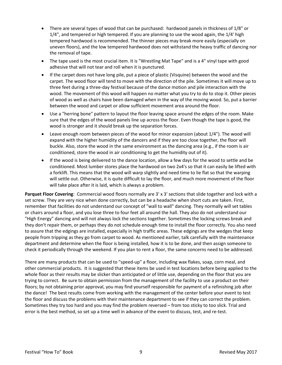- There are several types of wood that can be purchased: hardwood panels in thickness of 1/8" or 1/4", and tempered or high tempered. If you are planning to use the wood again, the 1/4' high tempered hardwood is recommended. The thinner pieces may break more easily (especially on uneven floors), and the low tempered hardwood does not withstand the heavy traffic of dancing nor the removal of tape.
- The tape used is the most crucial item. It is "Wrestling Mat Tape" and is a 4" vinyl tape with good adhesive that will not tear and roll when it is punctured.
- If the carpet does not have long pile, put a piece of plastic (Visquine) between the wood and the carpet. The wood floor will tend to move with the direction of the pile. Sometimes it will move up to three feet during a three-day festival because of the dance motion and pile interaction with the wood. The movement of this wood will happen no matter what you try to do to stop it. Other pieces of wood as well as chairs have been damaged when in the way of the moving wood. So, put a barrier between the wood and carpet or allow sufficient movement area around the floor.
- Use a "herring bone" pattern to layout the floor leaving space around the edges of the room. Make sure that the edges of the wood panels line up across the floor. Even though the tape is good, the wood is stronger and it should break up the separation forces.
- Leave enough room between pieces of the wood for minor expansion (about 1/4"). The wood will expand with the higher humidity of the dancers and if they are too close together, the floor will buckle. Also, store the wood in the same environment as the dancing area (e.g., if the room is air conditioned, store the wood in air conditioning to get the humidity out of it).
- If the wood is being delivered to the dance location, allow a few days for the wood to settle and be conditioned. Most lumber stores place the hardwood on two 2x4's so that it can easily be lifted with a forklift. This means that the wood will warp slightly and need time to lie flat so that the warping will settle out. Otherwise, it is quite difficult to lay the floor, and much more movement of the floor will take place after it is laid, which is always a problem.

**Parquet Floor Covering**: Commercial wood floors normally are 3' x 3' sections that slide together and lock with a set screw. They are very nice when done correctly, but can be a headache when short cuts are taken. First, remember that facilities do not understand our concept of "wall to wall" dancing. They normally will set tables or chairs around a floor, and you lose three to four feet all around the hall. They also do not understand our "High Energy" dancing and will not always lock the sections together. Sometimes the locking screws break and they don't repair them, or perhaps they do not schedule enough time to install the floor correctly. You also need to assure that the edgings are installed, especially in high traffic areas. These edgings are the wedges that keep people from tripping as they go from carpet to wood. As mentioned earlier, talk carefully with the maintenance department and determine when the floor is being installed, how it is to be done, and then assign someone to check it periodically through the weekend. If you plan to rent a floor, the same concerns need to be addressed.

There are many products that can be used to "speed-up" a floor, including wax flakes, soap, corn meal, and other commercial products. It is suggested that these items be used in test locations before being applied to the whole floor as their results may be slicker than anticipated or of little use, depending on the floor that you are trying to correct. Be sure to obtain permission from the management of the facility to use a product on their floors; by not obtaining prior approval, you may find yourself responsible for payment of a refinishing job after the dance! The best results come from working with the management of the center before your event to test the floor and discuss the problems with their maintenance department to see if they can correct the problem. Sometimes they try too hard and you may find the problem reversed – from too sticky to too slick. Trial and error is the best method, so set up a time well in advance of the event to discuss, test, and re-test.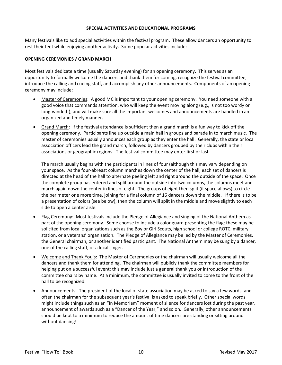#### **SPECIAL ACTIVITIES AND EDUCATIONAL PROGRAMS**

Many festivals like to add special activities within the festival program. These allow dancers an opportunity to rest their feet while enjoying another activity. Some popular activities include:

#### **OPENING CEREMONIES / GRAND MARCH**

Most festivals dedicate a time (usually Saturday evening) for an opening ceremony. This serves as an opportunity to formally welcome the dancers and thank them for coming, recognize the festival committee, introduce the calling and cueing staff, and accomplish any other announcements. Components of an opening ceremony may include:

- Master of Ceremonies: A good MC is important to your opening ceremony. You need someone with a good voice that commands attention, who will keep the event moving along (e.g., is not too wordy or long-winded!), and will make sure all the important welcomes and announcements are handled in an organized and timely manner.
- Grand March: If the festival attendance is sufficient then a grand march is a fun way to kick off the opening ceremony. Participants line up outside a main hall in groups and parade in to march music. The master of ceremonies usually announces each group as they enter the hall. Generally, the state or local association officers lead the grand march, followed by dancers grouped by their clubs within their associations or geographic regions. The festival committee may enter first or last.

The march usually begins with the participants in lines of four (although this may vary depending on your space. As the four-abreast column marches down the center of the hall, each set of dancers is directed at the head of the hall to alternate peeling left and right around the outside of the space. Once the complete group has entered and split around the outside into two columns, the columns meet and march again down the center in lines of eight. The groups of eight then split (if space allows) to circle the perimeter one more time, joining for a final column of 16 dancers down the middle. If there is to be a presentation of colors (see below), then the column will split in the middle and move slightly to each side to open a center aisle.

- Flag Ceremony: Most festivals include the Pledge of Allegiance and singing of the National Anthem as part of the opening ceremony. Some choose to include a color guard presenting the flag; these may be solicited from local organizations such as the Boy or Girl Scouts, high school or college ROTC, military station, or a veterans' organization. The Pledge of Allegiance may be led by the Master of Ceremonies, the General chairman, or another identified participant. The National Anthem may be sung by a dancer, one of the calling staff, or a local singer.
- Welcome and Thank You's: The Master of Ceremonies or the chairman will usually welcome all the dancers and thank them for attending. The chairman will publicly thank the committee members for helping put on a successful event; this may include just a general thank you or introduction of the committee chairs by name. At a minimum, the committee is usually invited to come to the front of the hall to be recognized.
- Announcements: The president of the local or state association may be asked to say a few words, and often the chairman for the subsequent year's festival is asked to speak briefly. Other special words might include things such as an "In Memoriam" moment of silence for dancers lost during the past year, announcement of awards such as a "Dancer of the Year," and so on. Generally, other announcements should be kept to a minimum to reduce the amount of time dancers are standing or sitting around without dancing!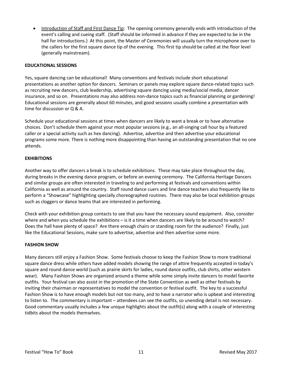• Introduction of Staff and First Dance Tip: The opening ceremony generally ends with introduction of the event's calling and cueing staff. (Staff should be informed in advance if they are expected to be in the hall for introductions.) At this point, the Master of Ceremonies will usually turn the microphone over to the callers for the first square dance tip of the evening. This first tip should be called at the floor level (generally mainstream).

#### **EDUCATIONAL SESSIONS**

Yes, square dancing can be educational! Many conventions and festivals include short educational presentations as another option for dancers. Seminars or panels may explore square dance-related topics such as recruiting new dancers, club leadership, advertising square dancing using media/social media, dancer insurance, and so on. Presentations may also address non-dance topics such as financial planning or gardening! Educational sessions are generally about 60 minutes, and good sessions usually combine a presentation with time for discussion or Q & A.

Schedule your educational sessions at times when dancers are likely to want a break or to have alternative choices. Don't schedule them against your most popular sessions (e.g., an all-singing call hour by a featured caller or a special activity such as hex dancing). Advertise, advertise and then advertise your educational programs some more. There is nothing more disappointing than having an outstanding presentation that no one attends.

# **EXHIBITIONS**

Another way to offer dancers a break is to schedule exhibitions. These may take place throughout the day, during breaks in the evening dance program, or before an evening ceremony. The California Heritage Dancers and similar groups are often interested in traveling to and performing at festivals and conventions within California as well as around the country. Staff round dance cuers and line dance teachers also frequently like to perform a "Showcase" highlighting specially choreographed routines. There may also be local exhibition groups such as cloggers or dance teams that are interested in performing.

Check with your exhibition group contacts to see that you have the necessary sound equipment. Also, consider where and when you schedule the exhibitions – is it a time when dancers are likely to be around to watch? Does the hall have plenty of space? Are there enough chairs or standing room for the audience? Finally, just like the Educational Sessions, make sure to advertise, advertise and then advertise some more.

#### **FASHION SHOW**

Many dancers still enjoy a Fashion Show. Some festivals choose to keep the Fashion Show to more traditional square dance dress while others have added models showing the range of attire frequently accepted in today's square and round dance world (such as prairie skirts for ladies, round dance outfits, club shirts, other western wear). Many Fashion Shows are organized around a theme while some simply invite dancers to model favorite outfits. Your festival can also assist in the promotion of the State Convention as well as other festivals by inviting their chairman or representatives to model the convention or festival outfit. The key to a successful Fashion Show is to have enough models but not too many, and to have a narrator who is upbeat and interesting to listen to. The commentary is important – attendees can see the outfits, so unending detail is not necessary. Good commentary usually includes a few unique highlights about the outfit(s) along with a couple of interesting tidbits about the models themselves.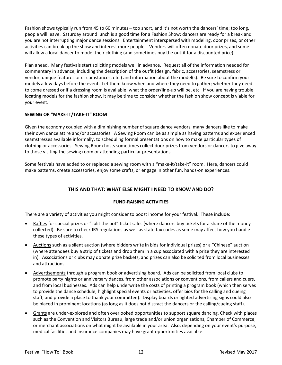Fashion shows typically run from 45 to 60 minutes – too short, and it's not worth the dancers' time; too long, people will leave. Saturday around lunch is a good time for a Fashion Show; dancers are ready for a break and you are not interrupting major dance sessions. Entertainment interspersed with modeling, door prizes, or other activities can break up the show and interest more people. Vendors will often donate door prizes, and some will allow a local dancer to model their clothing (and sometimes buy the outfit for a discounted price).

Plan ahead. Many festivals start soliciting models well in advance. Request all of the information needed for commentary in advance, including the description of the outfit (design, fabric, accessories, seamstress or vendor, unique features or circumstances, etc.) and information about the model(s). Be sure to confirm your models a few days before the event. Let them know when and where they need to gather; whether they need to come dressed or if a dressing room is available; what the order/line-up will be, etc. If you are having trouble locating models for the fashion show, it may be time to consider whether the fashion show concept is viable for your event.

# **SEWING OR "MAKE-IT/TAKE-IT" ROOM**

Given the economy coupled with a diminishing number of square dance vendors, many dancers like to make their own dance attire and/or accessories. A Sewing Room can be as simple as having patterns and experienced seamstresses available informally, to scheduling formal presentations on how to make particular types of clothing or accessories. Sewing Room hosts sometimes collect door prizes from vendors or dancers to give away to those visiting the sewing room or attending particular presentations.

Some festivals have added to or replaced a sewing room with a "make-it/take-it" room. Here, dancers could make patterns, create accessories, enjoy some crafts, or engage in other fun, hands-on experiences.

# **THIS AND THAT: WHAT ELSE MIGHT I NEED TO KNOW AND DO?**

#### **FUND-RAISING ACTIVITIES**

There are a variety of activities you might consider to boost income for your festival. These include:

- Raffles for special prizes or "split the pot" ticket sales (where dancers buy tickets for a share of the money collected). Be sure to check IRS regulations as well as state tax codes as some may affect how you handle these types of activities.
- Auctions such as a silent auction (where bidders write in bids for individual prizes) or a "Chinese" auction (where attendees buy a strip of tickets and drop them in a cup associated with a prize they are interested in). Associations or clubs may donate prize baskets, and prizes can also be solicited from local businesses and attractions.
- Advertisements through a program book or advertising board. Ads can be solicited from local clubs to promote party nights or anniversary dances, from other associations or conventions, from callers and cuers, and from local businesses. Ads can help underwrite the costs of printing a program book (which then serves to provide the dance schedule, highlight special events or activities, offer bios for the calling and cueing staff, and provide a place to thank your committee). Display boards or lighted advertising signs could also be placed in prominent locations (as long as it does not distract the dancers or the calling/cueing staff).
- Grants are under-explored and often overlooked opportunities to support square dancing. Check with places such as the Convention and Visitors Bureau, large trade and/or union organizations, Chamber of Commerce, or merchant associations on what might be available in your area. Also, depending on your event's purpose, medical facilities and insurance companies may have grant opportunities available.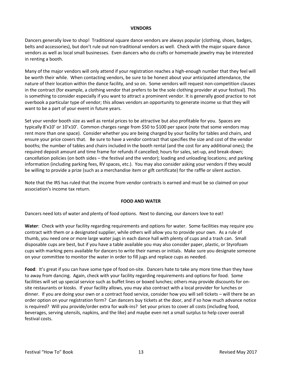#### **VENDORS**

Dancers generally love to shop! Traditional square dance vendors are always popular (clothing, shoes, badges, belts and accessories), but don't rule out non-traditional vendors as well. Check with the major square dance vendors as well as local small businesses. Even dancers who do crafts or homemade jewelry may be interested in renting a booth.

Many of the major vendors will only attend if your registration reaches a high-enough number that they feel will be worth their while. When contacting vendors, be sure to be honest about your anticipated attendance, the nature of their location within the dance facility, and so on. Some vendors will request non-competition clauses in the contract (for example, a clothing vendor that prefers to be the sole clothing provider at your festival). This is something to consider especially if you want to attract a prominent vendor. It is generally good practice to not overbook a particular type of vendor; this allows vendors an opportunity to generate income so that they will want to be a part of your event in future years.

Set your vendor booth size as well as rental prices to be attractive but also profitable for you. Spaces are typically 8'x10' or 10'x10'. Common charges range from \$50 to \$100 per space (note that some vendors may rent more than one space). Consider whether you are being charged by your facility for tables and chairs, and ensure your price covers that. Be sure to have a vendor contract that specifies the size and cost of the vendor booths; the number of tables and chairs included in the booth rental (and the cost for any additional ones); the required deposit amount and time frame for refunds if cancelled; hours for sales, set-up, and break-down; cancellation policies (on both sides – the festival and the vendor); loading and unloading locations; and parking information (including parking fees, RV spaces, etc.). You may also consider asking your vendors if they would be willing to provide a prize (such as a merchandise item or gift certificate) for the raffle or silent auction.

Note that the IRS has ruled that the income from vendor contracts is earned and must be so claimed on your association's income tax return.

#### **FOOD AND WATER**

Dancers need lots of water and plenty of food options. Next to dancing, our dancers love to eat!

**Water**: Check with your facility regarding requirements and options for water. Some facilities may require you contract with them or a designated supplier, while others will allow you to provide your own. As a rule of thumb, you need one or more large water jugs in each dance hall with plenty of cups and a trash can. Small disposable cups are best, but if you have a table available you may also consider paper, plastic, or Styrofoam cups with marking pens available for dancers to write their names or initials. Make sure you designate someone on your committee to monitor the water in order to fill jugs and replace cups as needed.

**Food**: It's great if you can have some type of food on-site. Dancers hate to take any more time than they have to away from dancing. Again, check with your facility regarding requirements and options for food. Some facilities will set up special service such as buffet lines or boxed lunches; others may provide discounts for onsite restaurants or kiosks. If your facility allows, you may also contract with a local provider for lunches or dinner. If you are doing your own or a contract food service, consider how you will sell tickets – will there be an order option on your registration form? Can dancers buy tickets at the door, and if so how much advance notice is required? Will you provide/order extra for walk-ins? Set your prices to cover all costs (including food, beverages, serving utensils, napkins, and the like) and maybe even net a small surplus to help cover overall festival costs.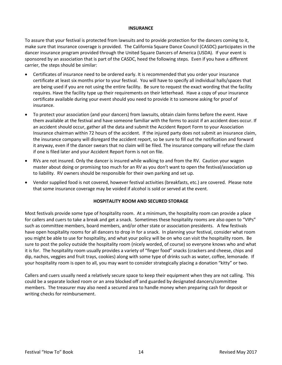#### **INSURANCE**

To assure that your festival is protected from lawsuits and to provide protection for the dancers coming to it, make sure that insurance coverage is provided. The California Square Dance Council (CASDC) participates in the dancer insurance program provided through the United Square Dancers of America (USDA). If your event is sponsored by an association that is part of the CASDC, heed the following steps. Even if you have a different carrier, the steps should be similar:

- Certificates of insurance need to be ordered early. It is recommended that you order your insurance certificate at least six months prior to your festival. You will have to specify all individual halls/spaces that are being used if you are not using the entire facility. Be sure to request the exact wording that the facility requires. Have the facility type up their requirements on their letterhead. Have a copy of your insurance certificate available during your event should you need to provide it to someone asking for proof of insurance.
- To protect your association (and your dancers) from lawsuits, obtain claim forms before the event. Have them available at the festival and have someone familiar with the forms to assist if an accident does occur. If an accident should occur, gather all the data and submit the Accident Report Form to your Association Insurance chairman within 72 hours of the accident. If the injured party does not submit an insurance claim, the insurance company will disregard the accident report, so be sure to fill out the notification and forward it anyway, even if the dancer swears that no claim will be filed. The insurance company will refuse the claim if one is filed later and your Accident Report Form is not on file.
- RVs are not insured. Only the dancer is insured while walking to and from the RV. Caution your wagon master about doing or promising too much for an RV as you don't want to open the festival/association up to liability. RV owners should be responsible for their own parking and set up.
- Vendor supplied food is not covered, however festival activities (breakfasts, etc.) are covered. Please note that some insurance coverage may be voided if alcohol is sold or served at the event.

#### **HOSPITALITY ROOM AND SECURED STORAGE**

Most festivals provide some type of hospitality room. At a minimum, the hospitality room can provide a place for callers and cuers to take a break and get a snack. Sometimes these hospitality rooms are also open to "VIPs" such as committee members, board members, and/or other state or association presidents. A few festivals have open hospitality rooms for all dancers to drop in for a snack. In planning your festival, consider what room you might be able to use for hospitality, and what your policy will be on who can visit the hospitality room. Be sure to post the policy outside the hospitality room (nicely worded, of course) so everyone knows who and what it is for. The hospitality room usually provides a variety of "finger food" snacks (crackers and cheese, chips and dip, nachos, veggies and fruit trays, cookies) along with some type of drinks such as water, coffee, lemonade. If your hospitality room is open to all, you may want to consider strategically placing a donation "kitty" or two.

Callers and cuers usually need a relatively secure space to keep their equipment when they are not calling. This could be a separate locked room or an area blocked off and guarded by designated dancers/committee members. The treasurer may also need a secured area to handle money when preparing cash for deposit or writing checks for reimbursement.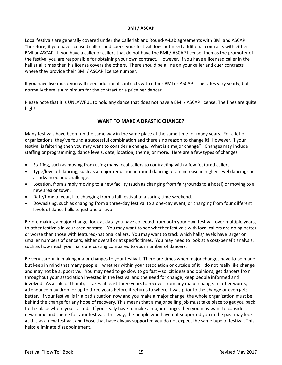#### **BMI / ASCAP**

Local festivals are generally covered under the Callerlab and Round-A-Lab agreements with BMI and ASCAP. Therefore, if you have licensed callers and cuers, your festival does not need additional contracts with either BMI or ASCAP. If you have a caller or callers that do not have the BMI / ASCAP license, then as the promoter of the festival you are responsible for obtaining your own contract. However, if you have a licensed caller in the hall at all times then his license covers the others. There should be a line on your caller and cuer contracts where they provide their BMI / ASCAP license number.

If you have live music you will need additional contracts with either BMI or ASCAP. The rates vary yearly, but normally there is a minimum for the contract or a price per dancer.

Please note that it is UNLAWFUL to hold any dance that does not have a BMI / ASCAP license. The fines are quite high!

# **WANT TO MAKE A DRASTIC CHANGE?**

Many festivals have been run the same way in the same place at the same time for many years. For a lot of organizations, they've found a successful combination and there's no reason to change it! However, if your festival is faltering then you may want to consider a change. What is a major change? Changes may include staffing or programming, dance levels, date, location, theme, or more. Here are a few types of changes:

- Staffing, such as moving from using many local callers to contracting with a few featured callers.
- Type/level of dancing, such as a major reduction in round dancing or an increase in higher-level dancing such as advanced and challenge.
- Location, from simply moving to a new facility (such as changing from fairgrounds to a hotel) or moving to a new area or town.
- Date/time of year, like changing from a fall festival to a spring-time weekend.
- Downsizing, such as changing from a three-day festival to a one-day event, or changing from four different levels of dance halls to just one or two.

Before making a major change, look at data you have collected from both your own festival, over multiple years, to other festivals in your area or state. You may want to see whether festivals with local callers are doing better or worse than those with featured/national callers. You may want to track which halls/levels have larger or smaller numbers of dancers, either overall or at specific times. You may need to look at a cost/benefit analysis, such as how much your halls are costing compared to your number of dancers.

Be very careful in making major changes to your festival. There are times when major changes have to be made but keep in mind that many people – whether within your association or outside of it – do not really like change and may not be supportive. You may need to go slow to go fast – solicit ideas and opinions, get dancers from throughout your association invested in the festival and the need for change, keep people informed and involved. As a rule of thumb, it takes at least three years to recover from any major change. In other words, attendance may drop for up to three years before it returns to where it was prior to the change or even gets better. If your festival is in a bad situation now and you make a major change, the whole organization must be behind the change for any hope of recovery. This means that a major selling job must take place to get you back to the place where you started. If you really have to make a major change, then you may want to consider a new name and theme for your festival. This way, the people who have not supported you in the past may look at this as a new festival, and those that have always supported you do not expect the same type of festival. This helps eliminate disappointment.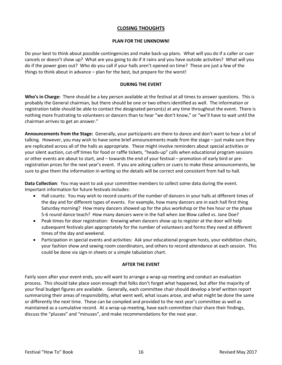# **CLOSING THOUGHTS**

#### **PLAN FOR THE UNKNOWN!**

Do your best to think about possible contingencies and make back-up plans. What will you do if a caller or cuer cancels or doesn't show up? What are you going to do if it rains and you have outside activities? What will you do if the power goes out? Who do you call if your halls aren't opened on time? These are just a few of the things to think about in advance – plan for the best, but prepare for the worst!

#### **DURING THE EVENT**

**Who's in Charge:** There should be a key person available at the festival at all times to answer questions. This is probably the General chairman, but there should be one or two others identified as well. The information or registration table should be able to contact the designated person(s) at any time throughout the event. There is nothing more frustrating to volunteers or dancers than to hear "we don't know," or "we'll have to wait until the chairman arrives to get an answer."

**Announcements from the Stage:** Generally, your participants are there to dance and don't want to hear a lot of talking. However, you may wish to have some brief announcements made from the stage – just make sure they are replicated across all of the halls as appropriate. These might involve reminders about special activities or your silent auction, cut-off times for food or raffle tickets, "heads-up" calls when educational program sessions or other events are about to start, and – towards the end of your festival – promotion of early bird or preregistration prices for the next year's event. If you are asking callers or cuers to make these announcements, be sure to give them the information in writing so the details will be correct and consistent from hall to hall.

**Data Collection**: You may want to ask your committee members to collect some data during the event. Important information for future festivals includes:

- Hall counts: You may wish to record counts of the number of dancers in your halls at different times of the day and for different types of events. For example, how many dancers are in each hall first thing Saturday morning? How many dancers showed up for the plus workshop or the hex hour or the phase 5-6 round dance teach? How many dancers were in the hall when Joe Blow called vs. Jane Doe?
- Peak times for door registration: Knowing when dancers show up to register at the door will help subsequent festivals plan appropriately for the number of volunteers and forms they need at different times of the day and weekend.
- Participation in special events and activities: Ask your educational program hosts, your exhibition chairs, your fashion show and sewing room coordinators, and others to record attendance at each session. This could be done via sign-in sheets or a simple tabulation chart.

#### **AFTER THE EVENT**

Fairly soon after your event ends, you will want to arrange a wrap-up meeting and conduct an evaluation process. This should take place soon enough that folks don't forget what happened, but after the majority of your final budget figures are available. Generally, each committee chair should develop a brief written report summarizing their areas of responsibility, what went well, what issues arose, and what might be done the same or differently the next time. These can be compiled and provided to the next year's committee as well as maintained as a cumulative record. At a wrap-up meeting, have each committee chair share their findings, discuss the "plusses" and "minuses", and make recommendations for the next year.